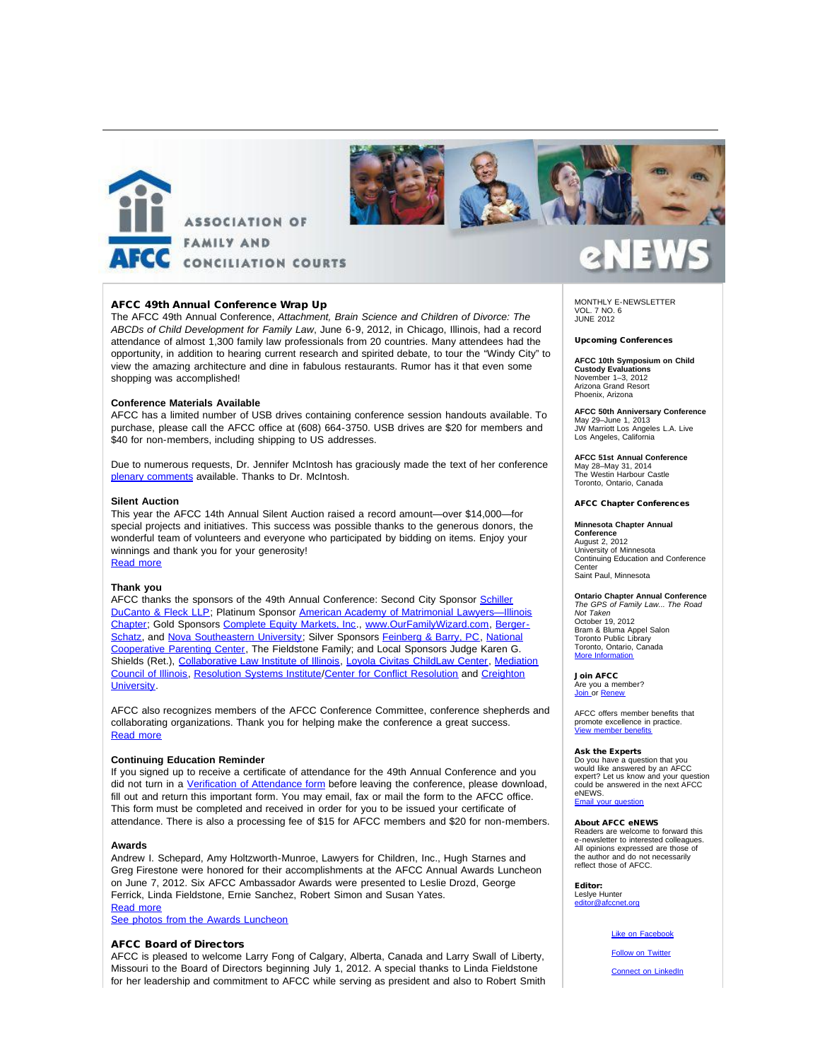



# AFCC 49th Annual Conference Wrap Up

The AFCC 49th Annual Conference, *Attachment, Brain Science and Children of Divorce: The ABCDs of Child Development for Family Law*, June 6-9, 2012, in Chicago, Illinois, had a record attendance of almost 1,300 family law professionals from 20 countries. Many attendees had the opportunity, in addition to hearing current research and spirited debate, to tour the "Windy City" to view the amazing architecture and dine in fabulous restaurants. Rumor has it that even some shopping was accomplished!

### **Conference Materials Available**

AFCC has a limited number of USB drives containing conference session handouts available. To purchase, please call the AFCC office at (608) 664-3750. USB drives are \$20 for members and \$40 for non-members, including shipping to US addresses.

Due to numerous requests, Dr. Jennifer McIntosh has graciously made the text of her conference [plenary comments](http://afcc.networkats.com/members_online/utilities/emailct.asp?b061a4d62e67ee251c6dc293f0dff75acd75255dbb4aff0aacf2631938e1c754cb9a6b9d55ecac5b) available. Thanks to Dr. McIntosh.

### **Silent Auction**

This year the AFCC 14th Annual Silent Auction raised a record amount—over \$14,000—for special projects and initiatives. This success was possible thanks to the generous donors, the wonderful team of volunteers and everyone who participated by bidding on items. Enjoy your winnings and thank you for your generosity! [Read more](http://afcc.networkats.com/members_online/utilities/emailct.asp?02c38a68c8a9da968bd4403e0667c04c06443e59bb4aff0aacf2631938e1c754cb9a6b9d55ecac5b)

### **Thank you**

AFCC thanks the sponsors of the 49th Annual Conference: Second City Sponsor [Schiller](http://afcc.networkats.com/members_online/utilities/emailct.asp?cc94676b0645c2e48195d65c4d3944735d17e6a9bb4aff0aacf2631938e1c754cb9a6b9d55ecac5b) [DuCanto & Fleck LLP;](http://afcc.networkats.com/members_online/utilities/emailct.asp?cc94676b0645c2e48195d65c4d3944735d17e6a9bb4aff0aacf2631938e1c754cb9a6b9d55ecac5b) Platinum Sponsor [American Academy of Matrimonial Lawyers—Illinois](http://afcc.networkats.com/members_online/utilities/emailct.asp?5e3de7a8cd5431594226958c24c651bf4d93bbabbb4aff0aacf2631938e1c754cb9a6b9d55ecac5b) [Chapter;](http://afcc.networkats.com/members_online/utilities/emailct.asp?5e3de7a8cd5431594226958c24c651bf4d93bbabbb4aff0aacf2631938e1c754cb9a6b9d55ecac5b) Gold Sponsors [Complete Equity Markets, Inc](http://afcc.networkats.com/members_online/utilities/emailct.asp?2caad6203aa130495d3732daaf86e87cda2fcddfbb4aff0aacf2631938e1c754cb9a6b9d55ecac5b)., [www.OurFamilyWizard.com](http://afcc.networkats.com/members_online/utilities/emailct.asp?cfa89deeef12ce7154ab39c349c0cedae7b073d9bb4aff0aacf2631938e1c754cb9a6b9d55ecac5b), [Berger-](http://afcc.networkats.com/members_online/utilities/emailct.asp?2759da3cd947bfd3a9f47fbfaf5299d221f0e36dbb4aff0aacf2631938e1c754cb9a6b9d55ecac5b)[Schatz,](http://afcc.networkats.com/members_online/utilities/emailct.asp?2759da3cd947bfd3a9f47fbfaf5299d221f0e36dbb4aff0aacf2631938e1c754cb9a6b9d55ecac5b) and [Nova Southeastern University](http://afcc.networkats.com/members_online/utilities/emailct.asp?f4afe040759b461370a0dae438bdd0c927c826dcbb4aff0aacf2631938e1c754cb9a6b9d55ecac5b); Silver Sponsors [Feinberg & Barry, PC,](http://afcc.networkats.com/members_online/utilities/emailct.asp?e543c1079d28f9783cb917c2d3e6932e4de31cccbb4aff0aacf2631938e1c754cb9a6b9d55ecac5b) [National](http://afcc.networkats.com/members_online/utilities/emailct.asp?35296e363407a8f21627ae35fd905b94e60be493bb4aff0aacf2631938e1c754cb9a6b9d55ecac5b) [Cooperative Parenting Center](http://afcc.networkats.com/members_online/utilities/emailct.asp?35296e363407a8f21627ae35fd905b94e60be493bb4aff0aacf2631938e1c754cb9a6b9d55ecac5b), The Fieldstone Family; and Local Sponsors Judge Karen G. Shields (Ret.), [Collaborative Law Institute of Illinois](http://afcc.networkats.com/members_online/utilities/emailct.asp?01b2bc86c24008ca6bf777bb900de52ff1f972a2bb4aff0aacf2631938e1c754cb9a6b9d55ecac5b), [Loyola Civitas ChildLaw Center,](http://afcc.networkats.com/members_online/utilities/emailct.asp?d542389c8f0a4d66c1edfcc75519bbc9f22a12b8bb4aff0aacf2631938e1c754cb9a6b9d55ecac5b) [Mediation](http://afcc.networkats.com/members_online/utilities/emailct.asp?9b208fb360996adc7cb1f058c707eee1f065d55ebb4aff0aacf2631938e1c754cb9a6b9d55ecac5b) [Council of Illinois](http://afcc.networkats.com/members_online/utilities/emailct.asp?9b208fb360996adc7cb1f058c707eee1f065d55ebb4aff0aacf2631938e1c754cb9a6b9d55ecac5b), [Resolution Systems Institute](http://afcc.networkats.com/members_online/utilities/emailct.asp?b0a8eb2615238aece77b062e8bcc2aa52daea36dbb4aff0aacf2631938e1c754cb9a6b9d55ecac5b)/[Center for Conflict Resolution](http://afcc.networkats.com/members_online/utilities/emailct.asp?8cddbf86f3e959696977de2a4121c5403f092a2dbb4aff0aacf2631938e1c754cb9a6b9d55ecac5b) and [Creighton](http://afcc.networkats.com/members_online/utilities/emailct.asp?b130a94b0d87edf2d16753d391a833ca3eebacdcbb4aff0aacf2631938e1c754cb9a6b9d55ecac5b) [University](http://afcc.networkats.com/members_online/utilities/emailct.asp?b130a94b0d87edf2d16753d391a833ca3eebacdcbb4aff0aacf2631938e1c754cb9a6b9d55ecac5b).

AFCC also recognizes members of the AFCC Conference Committee, conference shepherds and collaborating organizations. Thank you for helping make the conference a great success. [Read more](http://afcc.networkats.com/members_online/utilities/emailct.asp?c8470c028330530e4eee2d89e381142f6fa50e22bb4aff0aacf2631938e1c754cb9a6b9d55ecac5b)

### **Continuing Education Reminder**

If you signed up to receive a certificate of attendance for the 49th Annual Conference and you did not turn in a [Verification of Attendance form](http://afcc.networkats.com/members_online/utilities/emailct.asp?59e38a739684ebe98d0edb7f92e0713c91a5fc4fbb4aff0aacf2631938e1c754cb9a6b9d55ecac5b) before leaving the conference, please download, fill out and return this important form. You may email, fax or mail the form to the AFCC office. This form must be completed and received in order for you to be issued your certificate of attendance. There is also a processing fee of \$15 for AFCC members and \$20 for non-members.

### **Awards**

Andrew I. Schepard, Amy Holtzworth-Munroe, Lawyers for Children, Inc., Hugh Starnes and Greg Firestone were honored for their accomplishments at the AFCC Annual Awards Luncheon on June 7, 2012. Six AFCC Ambassador Awards were presented to Leslie Drozd, George Ferrick, Linda Fieldstone, Ernie Sanchez, Robert Simon and Susan Yates. [Read more](http://afcc.networkats.com/members_online/utilities/emailct.asp?a830fcfeb84c2fde78c18aa110575a7f3419ef47bb4aff0aacf2631938e1c754cb9a6b9d55ecac5b)

[See photos from the Awards Luncheon](http://afcc.networkats.com/members_online/utilities/emailct.asp?e5a2f06efd22927d2476d42adc19a8f129f9120cbb4aff0aacf2631938e1c754cb9a6b9d55ecac5b)

### AFCC Board of Directors

AFCC is pleased to welcome Larry Fong of Calgary, Alberta, Canada and Larry Swall of Liberty, Missouri to the Board of Directors beginning July 1, 2012. A special thanks to Linda Fieldstone for her leadership and commitment to AFCC while serving as president and also to Robert Smith

MONTHLY E-NEWSLETTER VOL. 7 NO. 6 JUNE 2012

### Upcoming Conferences

**AFCC 10th Symposium on Child Custody Evaluations** November 1–3, 2012 Arizona Grand Resort Phoenix, Arizona

**AFCC 50th Anniversary Conference** May 29–June 1, 2013 JW Marriott Los Angeles L.A. Live Los Angeles, California

**AFCC 51st Annual Conference** May 28–May 31, 2014 The Westin Harbour Castle Toronto, Ontario, Canada

### AFCC Chapter Conferences

### **Minnesota Chapter Annual**

**Conference** August 2, 2012 University of Minnesota Continuing Education and Conference Center Saint Paul, Minnesota

**Ontario Chapter Annual Conference** *The GPS of Family Law... The Road Not Taken* October 19, 2012 Bram & Bluma Appel Salon Toronto Public Library Toronto, Ontario, Canada [More Information](http://afcc.networkats.com/members_online/utilities/emailct.asp?ba097606c6ceb69022204ab97ed8ee6e7f11fbacbb4aff0aacf2631938e1c754cb9a6b9d55ecac5b)

Join AFCC Are you a member?<br><u>Join </u>or <u>[Renew](http://afcc.networkats.com/members_online/utilities/emailct.asp?5a9189e28bdba097fd51c19f18811249791bcdf7bb4aff0aacf2631938e1c754cb9a6b9d55ecac5b)</u>

AFCC offers member benefits that promote excellence in practice. [View member benefits](http://afcc.networkats.com/members_online/utilities/emailct.asp?09908b5f2c0c779c45101fb7a3f396956b5013b9bb4aff0aacf2631938e1c754cb9a6b9d55ecac5b)

### Ask the Experts

Do you have a question that you would like answered by an AFCC expert? Let us know and your question could be answered in the next AFCC eNEWS. Email you

### About AFCC eNEWS

Readers are welcome to forward this e-newsletter to interested colleagues. All opinions expressed are those of the author and do not necessarily reflect those of AFCC.

Editor: Leslye Hunter<br>editor@afccne @afccnet.org

# [Like on Facebook](http://afcc.networkats.com/members_online/utilities/emailct.asp?040c0ddb4a8153a03ef343f610b43588c3d3a44bbb4aff0aacf2631938e1c754cb9a6b9d55ecac5b)

[Follow on Twitter](http://afcc.networkats.com/members_online/utilities/emailct.asp?034ef8a6f9b2c5db21f21105197d887649215d03bb4aff0aacf2631938e1c754cb9a6b9d55ecac5b)

**[Connect on LinkedIn](http://afcc.networkats.com/members_online/utilities/emailct.asp?6f1398b70cb2f543439c4b19ee84f1bfa2d306ecbb4aff0aacf2631938e1c754cb9a6b9d55ecac5b)**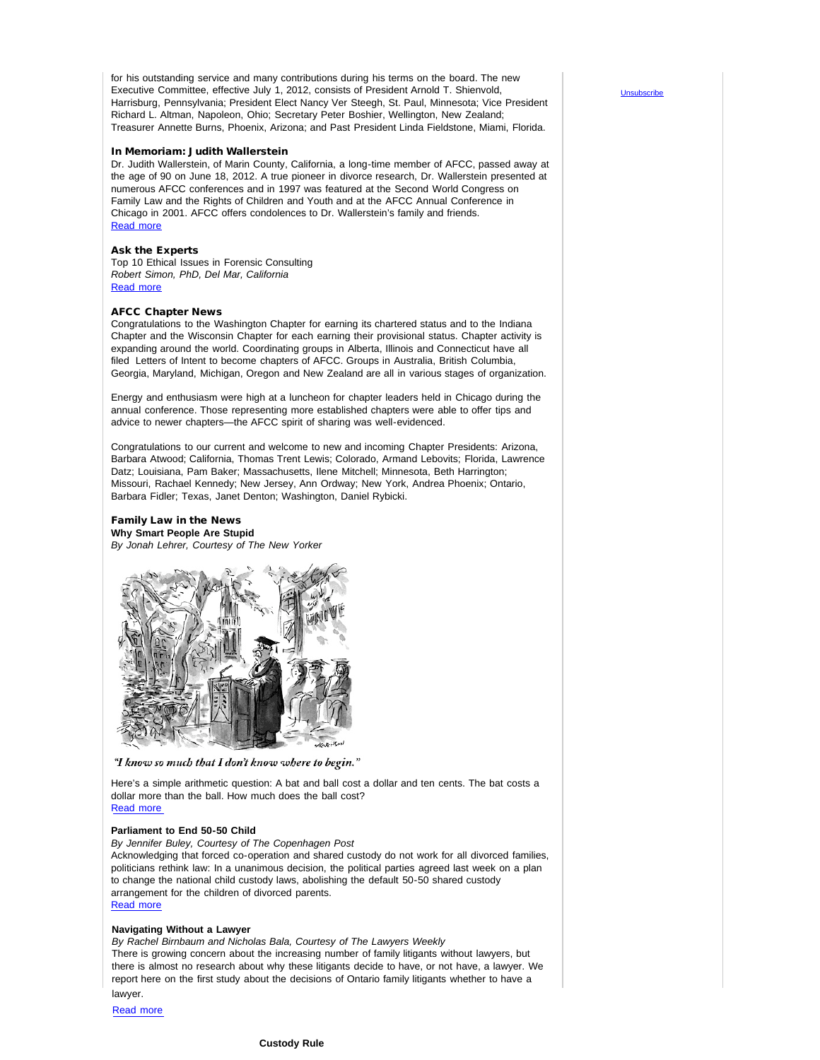for his outstanding service and many contributions during his terms on the board. The new Executive Committee, effective July 1, 2012, consists of President Arnold T. Shienvold, Harrisburg, Pennsylvania; President Elect Nancy Ver Steegh, St. Paul, Minnesota; Vice President Richard L. Altman, Napoleon, Ohio; Secretary Peter Boshier, Wellington, New Zealand; Treasurer Annette Burns, Phoenix, Arizona; and Past President Linda Fieldstone, Miami, Florida.

### In Memoriam: Judith Wallerstein

Dr. Judith Wallerstein, of Marin County, California, a long-time member of AFCC, passed away at the age of 90 on June 18, 2012. A true pioneer in divorce research, Dr. Wallerstein presented at numerous AFCC conferences and in 1997 was featured at the Second World Congress on Family Law and the Rights of Children and Youth and at the AFCC Annual Conference in Chicago in 2001. AFCC offers condolences to Dr. Wallerstein's family and friends. [Read more](http://afcc.networkats.com/members_online/utilities/emailct.asp?92a487cb018535600e32df6658e1585a1a89a863bb4aff0aacf2631938e1c754cb9a6b9d55ecac5b)

### Ask the Experts

Top 10 Ethical Issues in Forensic Consulting *Robert Simon, PhD, Del Mar, California* [Read more](http://afcc.networkats.com/members_online/utilities/emailct.asp?8ba3bc8c1bf8b7c6b47721a1424812db1d39fe16bb4aff0aacf2631938e1c754cb9a6b9d55ecac5b)

### AFCC Chapter News

Congratulations to the Washington Chapter for earning its chartered status and to the Indiana Chapter and the Wisconsin Chapter for each earning their provisional status. Chapter activity is expanding around the world. Coordinating groups in Alberta, Illinois and Connecticut have all filed Letters of Intent to become chapters of AFCC. Groups in Australia, British Columbia, Georgia, Maryland, Michigan, Oregon and New Zealand are all in various stages of organization.

Energy and enthusiasm were high at a luncheon for chapter leaders held in Chicago during the annual conference. Those representing more established chapters were able to offer tips and advice to newer chapters—the AFCC spirit of sharing was well-evidenced.

Congratulations to our current and welcome to new and incoming Chapter Presidents: Arizona, Barbara Atwood; California, Thomas Trent Lewis; Colorado, Armand Lebovits; Florida, Lawrence Datz; Louisiana, Pam Baker; Massachusetts, Ilene Mitchell; Minnesota, Beth Harrington; Missouri, Rachael Kennedy; New Jersey, Ann Ordway; New York, Andrea Phoenix; Ontario, Barbara Fidler; Texas, Janet Denton; Washington, Daniel Rybicki.

# Family Law in the News

**Why Smart People Are Stupid** *By Jonah Lehrer, Courtesy of The New Yorker*



"I know so much that I don't know where to begin."

Here's a simple arithmetic question: A bat and ball cost a dollar and ten cents. The bat costs a dollar more than the ball. How much does the ball cost? [Read more](http://afcc.networkats.com/members_online/utilities/emailct.asp?4ca13bd2c2442554dcfb2bb00c4c6f2abf9314c8bb4aff0aacf2631938e1c754cb9a6b9d55ecac5b)

# **Parliament to End 50-50 Child**

*By Jennifer Buley, Courtesy of The Copenhagen Post*

Acknowledging that forced co-operation and shared custody do not work for all divorced families, politicians rethink law: In a unanimous decision, the political parties agreed last week on a plan to change the national child custody laws, abolishing the default 50-50 shared custody arrangement for the children of divorced parents. [Read more](http://afcc.networkats.com/members_online/utilities/emailct.asp?0fc5b88747aacd931499f8373c9444c2cc9a673cbb4aff0aacf2631938e1c754cb9a6b9d55ecac5b)

### **Navigating Without a Lawyer**

*By Rachel Birnbaum and Nicholas Bala, Courtesy of The Lawyers Weekly* There is growing concern about the increasing number of family litigants without lawyers, but there is almost no research about why these litigants decide to have, or not have, a lawyer. We report here on the first study about the decisions of Ontario family litigants whether to have a lawyer.

Read more

**[Unsubscribe](mailto:afcc@afccnet.org)**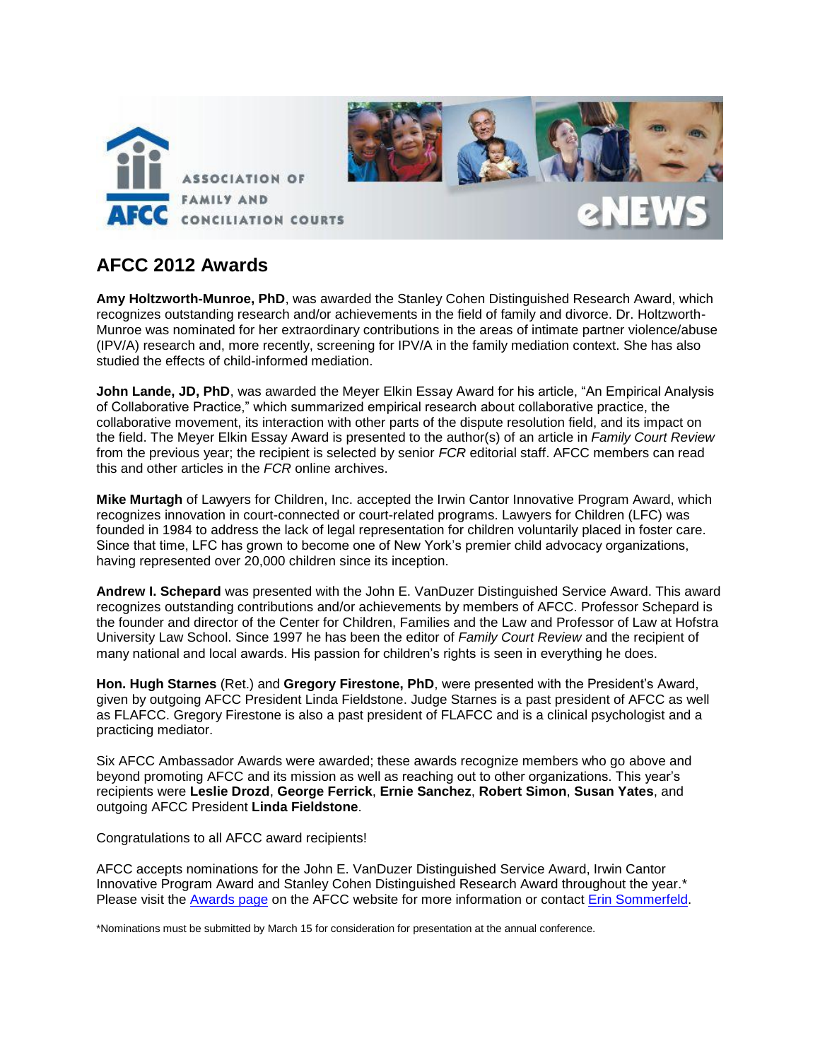

# **AFCC 2012 Awards**

**Amy Holtzworth-Munroe, PhD**, was awarded the Stanley Cohen Distinguished Research Award, which recognizes outstanding research and/or achievements in the field of family and divorce. Dr. Holtzworth-Munroe was nominated for her extraordinary contributions in the areas of intimate partner violence/abuse (IPV/A) research and, more recently, screening for IPV/A in the family mediation context. She has also studied the effects of child-informed mediation.

**John Lande, JD, PhD**, was awarded the Meyer Elkin Essay Award for his article, "An Empirical Analysis of Collaborative Practice," which summarized empirical research about collaborative practice, the collaborative movement, its interaction with other parts of the dispute resolution field, and its impact on the field. The Meyer Elkin Essay Award is presented to the author(s) of an article in *Family Court Review* from the previous year; the recipient is selected by senior *FCR* editorial staff. AFCC members can read this and other articles in the *FCR* online archives.

**Mike Murtagh** of Lawyers for Children, Inc. accepted the Irwin Cantor Innovative Program Award, which recognizes innovation in court-connected or court-related programs. Lawyers for Children (LFC) was founded in 1984 to address the lack of legal representation for children voluntarily placed in foster care. Since that time, LFC has grown to become one of New York's premier child advocacy organizations, having represented over 20,000 children since its inception.

**Andrew I. Schepard** was presented with the John E. VanDuzer Distinguished Service Award. This award recognizes outstanding contributions and/or achievements by members of AFCC. Professor Schepard is the founder and director of the Center for Children, Families and the Law and Professor of Law at Hofstra University Law School. Since 1997 he has been the editor of *Family Court Review* and the recipient of many national and local awards. His passion for children's rights is seen in everything he does.

**Hon. Hugh Starnes** (Ret.) and **Gregory Firestone, PhD**, were presented with the President's Award, given by outgoing AFCC President Linda Fieldstone. Judge Starnes is a past president of AFCC as well as FLAFCC. Gregory Firestone is also a past president of FLAFCC and is a clinical psychologist and a practicing mediator.

Six AFCC Ambassador Awards were awarded; these awards recognize members who go above and beyond promoting AFCC and its mission as well as reaching out to other organizations. This year's recipients were **Leslie Drozd**, **George Ferrick**, **Ernie Sanchez**, **Robert Simon**, **Susan Yates**, and outgoing AFCC President **Linda Fieldstone**.

Congratulations to all AFCC award recipients!

AFCC accepts nominations for the John E. VanDuzer Distinguished Service Award, Irwin Cantor Innovative Program Award and Stanley Cohen Distinguished Research Award throughout the year.\* Please visit the [Awards page](http://www.afccnet.org/About/Committees/ctl/ViewCommittee/CommitteeID/1/mid/550) on the AFCC website for more information or contact [Erin Sommerfeld.](mailto:esommerfeld@afccnet.org)

\*Nominations must be submitted by March 15 for consideration for presentation at the annual conference.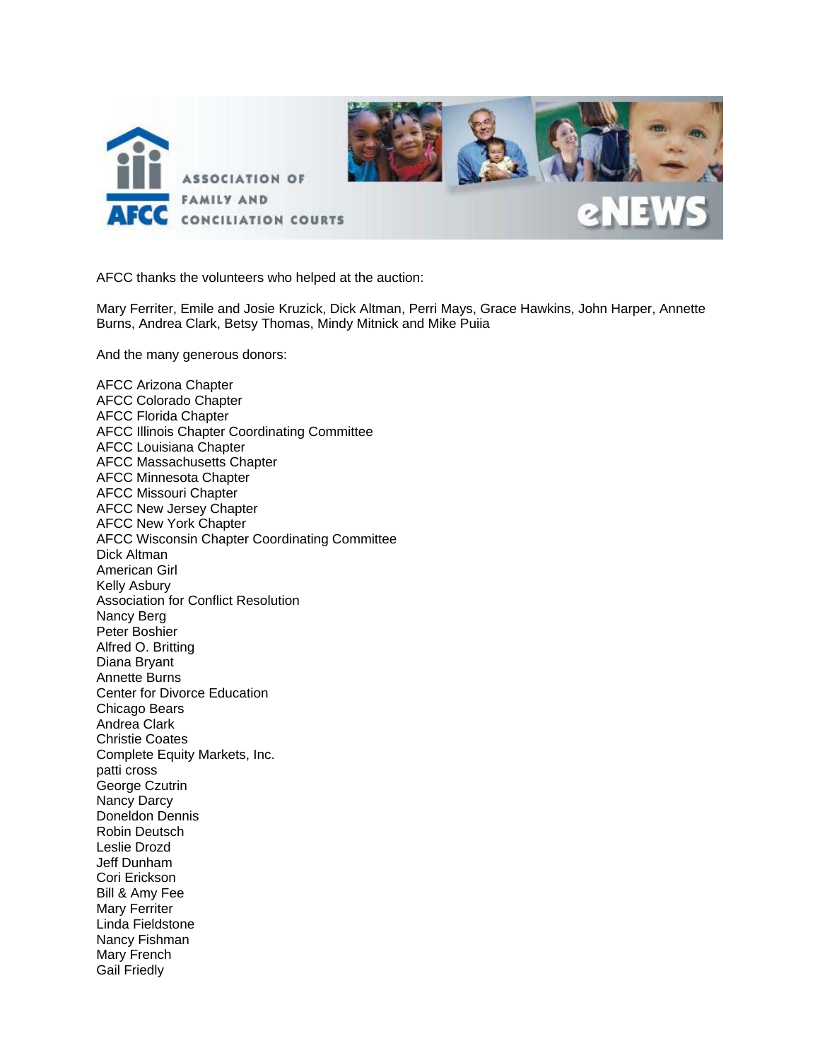

AFCC thanks the volunteers who helped at the auction:

Mary Ferriter, Emile and Josie Kruzick, Dick Altman, Perri Mays, Grace Hawkins, John Harper, Annette Burns, Andrea Clark, Betsy Thomas, Mindy Mitnick and Mike Puiia

And the many generous donors:

AFCC Arizona Chapter AFCC Colorado Chapter AFCC Florida Chapter AFCC Illinois Chapter Coordinating Committee AFCC Louisiana Chapter AFCC Massachusetts Chapter AFCC Minnesota Chapter AFCC Missouri Chapter AFCC New Jersey Chapter AFCC New York Chapter AFCC Wisconsin Chapter Coordinating Committee Dick Altman American Girl Kelly Asbury Association for Conflict Resolution Nancy Berg Peter Boshier Alfred O. Britting Diana Bryant Annette Burns Center for Divorce Education Chicago Bears Andrea Clark Christie Coates Complete Equity Markets, Inc. patti cross George Czutrin Nancy Darcy Doneldon Dennis Robin Deutsch Leslie Drozd Jeff Dunham Cori Erickson Bill & Amy Fee Mary Ferriter Linda Fieldstone Nancy Fishman Mary French Gail Friedly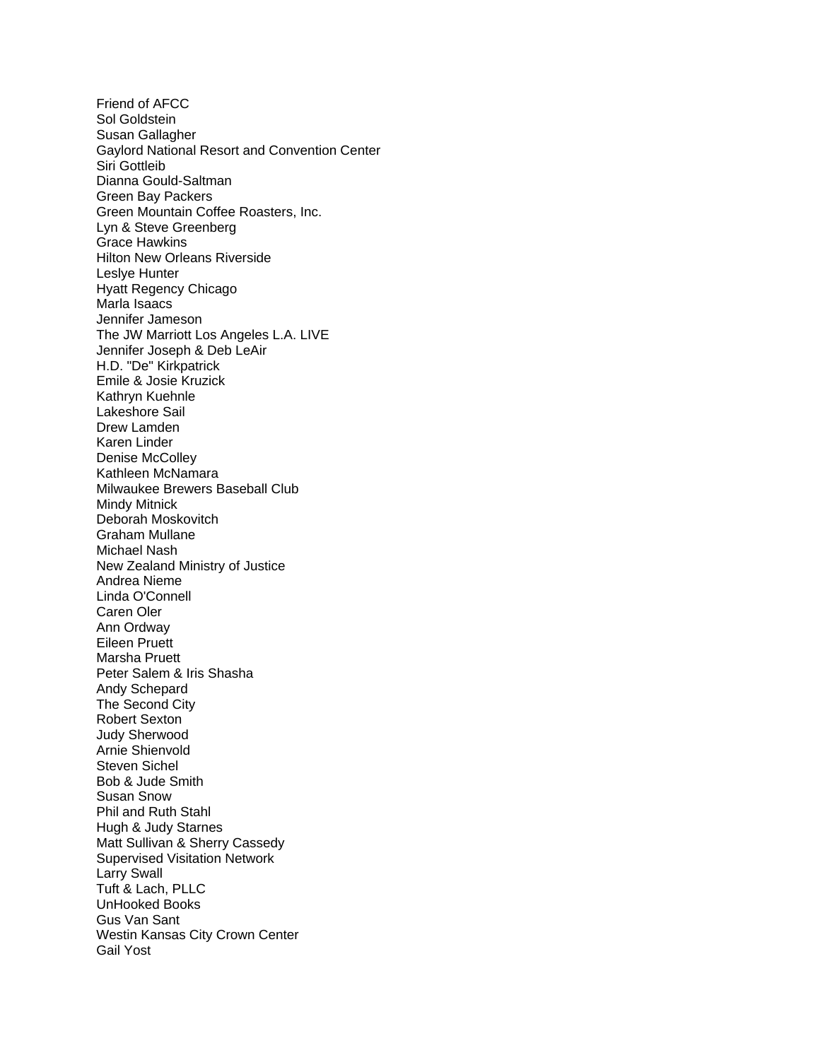Friend of AFCC Sol Goldstein Susan Gallagher Gaylord National Resort and Convention Center Siri Gottleib Dianna Gould-Saltman Green Bay Packers Green Mountain Coffee Roasters, Inc. Lyn & Steve Greenberg Grace Hawkins Hilton New Orleans Riverside Leslye Hunter Hyatt Regency Chicago Marla Isaacs Jennifer Jameson The JW Marriott Los Angeles L.A. LIVE Jennifer Joseph & Deb LeAir H.D. "De" Kirkpatrick Emile & Josie Kruzick Kathryn Kuehnle Lakeshore Sail Drew Lamden Karen Linder Denise McColley Kathleen McNamara Milwaukee Brewers Baseball Club Mindy Mitnick Deborah Moskovitch Graham Mullane Michael Nash New Zealand Ministry of Justice Andrea Nieme Linda O'Connell Caren Oler Ann Ordway Eileen Pruett Marsha Pruett Peter Salem & Iris Shasha Andy Schepard The Second City Robert Sexton Judy Sherwood Arnie Shienvold Steven Sichel Bob & Jude Smith Susan Snow Phil and Ruth Stahl Hugh & Judy Starnes Matt Sullivan & Sherry Cassedy Supervised Visitation Network Larry Swall Tuft & Lach, PLLC UnHooked Books Gus Van Sant Westin Kansas City Crown Center Gail Yost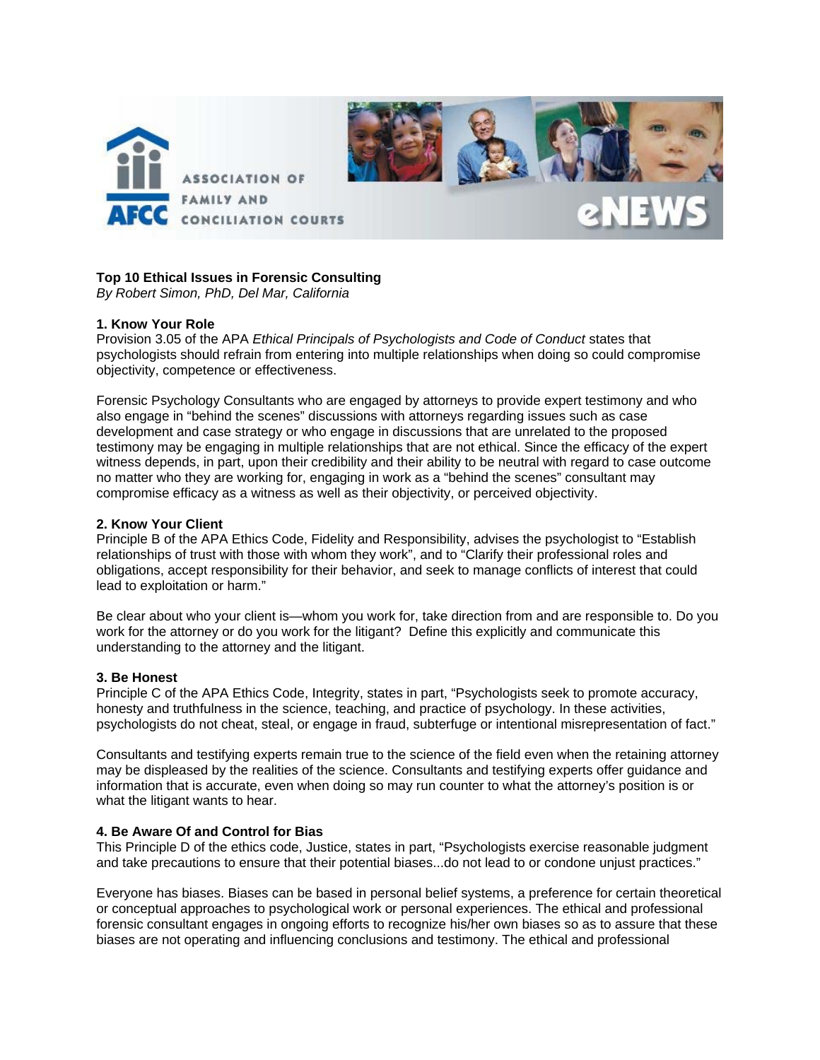

# **Top 10 Ethical Issues in Forensic Consulting**

*By Robert Simon, PhD, Del Mar, California* 

# **1. Know Your Role**

Provision 3.05 of the APA *Ethical Principals of Psychologists and Code of Conduct* states that psychologists should refrain from entering into multiple relationships when doing so could compromise objectivity, competence or effectiveness.

Forensic Psychology Consultants who are engaged by attorneys to provide expert testimony and who also engage in "behind the scenes" discussions with attorneys regarding issues such as case development and case strategy or who engage in discussions that are unrelated to the proposed testimony may be engaging in multiple relationships that are not ethical. Since the efficacy of the expert witness depends, in part, upon their credibility and their ability to be neutral with regard to case outcome no matter who they are working for, engaging in work as a "behind the scenes" consultant may compromise efficacy as a witness as well as their objectivity, or perceived objectivity.

# **2. Know Your Client**

Principle B of the APA Ethics Code, Fidelity and Responsibility, advises the psychologist to "Establish relationships of trust with those with whom they work", and to "Clarify their professional roles and obligations, accept responsibility for their behavior, and seek to manage conflicts of interest that could lead to exploitation or harm."

Be clear about who your client is—whom you work for, take direction from and are responsible to. Do you work for the attorney or do you work for the litigant? Define this explicitly and communicate this understanding to the attorney and the litigant.

# **3. Be Honest**

Principle C of the APA Ethics Code, Integrity, states in part, "Psychologists seek to promote accuracy, honesty and truthfulness in the science, teaching, and practice of psychology. In these activities, psychologists do not cheat, steal, or engage in fraud, subterfuge or intentional misrepresentation of fact."

Consultants and testifying experts remain true to the science of the field even when the retaining attorney may be displeased by the realities of the science. Consultants and testifying experts offer guidance and information that is accurate, even when doing so may run counter to what the attorney's position is or what the litigant wants to hear.

# **4. Be Aware Of and Control for Bias**

This Principle D of the ethics code, Justice, states in part, "Psychologists exercise reasonable judgment and take precautions to ensure that their potential biases...do not lead to or condone unjust practices."

Everyone has biases. Biases can be based in personal belief systems, a preference for certain theoretical or conceptual approaches to psychological work or personal experiences. The ethical and professional forensic consultant engages in ongoing efforts to recognize his/her own biases so as to assure that these biases are not operating and influencing conclusions and testimony. The ethical and professional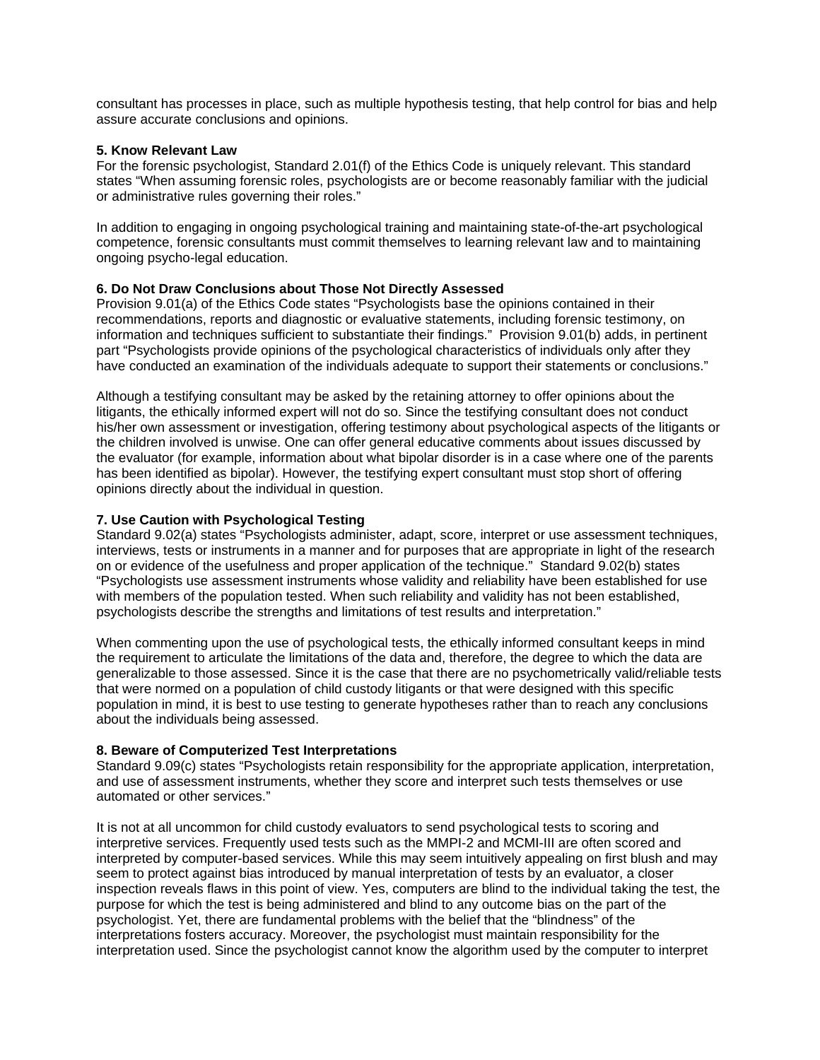consultant has processes in place, such as multiple hypothesis testing, that help control for bias and help assure accurate conclusions and opinions.

# **5. Know Relevant Law**

For the forensic psychologist, Standard 2.01(f) of the Ethics Code is uniquely relevant. This standard states "When assuming forensic roles, psychologists are or become reasonably familiar with the judicial or administrative rules governing their roles."

In addition to engaging in ongoing psychological training and maintaining state-of-the-art psychological competence, forensic consultants must commit themselves to learning relevant law and to maintaining ongoing psycho-legal education.

# **6. Do Not Draw Conclusions about Those Not Directly Assessed**

Provision 9.01(a) of the Ethics Code states "Psychologists base the opinions contained in their recommendations, reports and diagnostic or evaluative statements, including forensic testimony, on information and techniques sufficient to substantiate their findings." Provision 9.01(b) adds, in pertinent part "Psychologists provide opinions of the psychological characteristics of individuals only after they have conducted an examination of the individuals adequate to support their statements or conclusions."

Although a testifying consultant may be asked by the retaining attorney to offer opinions about the litigants, the ethically informed expert will not do so. Since the testifying consultant does not conduct his/her own assessment or investigation, offering testimony about psychological aspects of the litigants or the children involved is unwise. One can offer general educative comments about issues discussed by the evaluator (for example, information about what bipolar disorder is in a case where one of the parents has been identified as bipolar). However, the testifying expert consultant must stop short of offering opinions directly about the individual in question.

# **7. Use Caution with Psychological Testing**

Standard 9.02(a) states "Psychologists administer, adapt, score, interpret or use assessment techniques, interviews, tests or instruments in a manner and for purposes that are appropriate in light of the research on or evidence of the usefulness and proper application of the technique." Standard 9.02(b) states "Psychologists use assessment instruments whose validity and reliability have been established for use with members of the population tested. When such reliability and validity has not been established, psychologists describe the strengths and limitations of test results and interpretation."

When commenting upon the use of psychological tests, the ethically informed consultant keeps in mind the requirement to articulate the limitations of the data and, therefore, the degree to which the data are generalizable to those assessed. Since it is the case that there are no psychometrically valid/reliable tests that were normed on a population of child custody litigants or that were designed with this specific population in mind, it is best to use testing to generate hypotheses rather than to reach any conclusions about the individuals being assessed.

# **8. Beware of Computerized Test Interpretations**

Standard 9.09(c) states "Psychologists retain responsibility for the appropriate application, interpretation, and use of assessment instruments, whether they score and interpret such tests themselves or use automated or other services."

It is not at all uncommon for child custody evaluators to send psychological tests to scoring and interpretive services. Frequently used tests such as the MMPI-2 and MCMI-III are often scored and interpreted by computer-based services. While this may seem intuitively appealing on first blush and may seem to protect against bias introduced by manual interpretation of tests by an evaluator, a closer inspection reveals flaws in this point of view. Yes, computers are blind to the individual taking the test, the purpose for which the test is being administered and blind to any outcome bias on the part of the psychologist. Yet, there are fundamental problems with the belief that the "blindness" of the interpretations fosters accuracy. Moreover, the psychologist must maintain responsibility for the interpretation used. Since the psychologist cannot know the algorithm used by the computer to interpret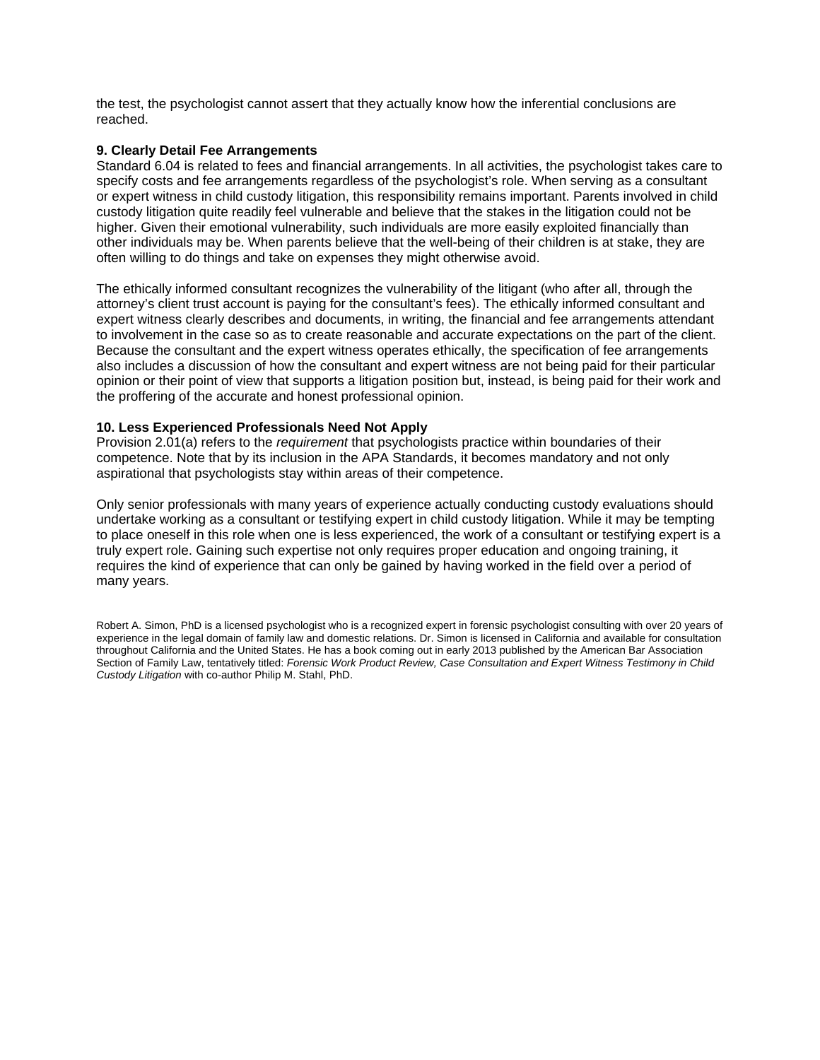the test, the psychologist cannot assert that they actually know how the inferential conclusions are reached.

# **9. Clearly Detail Fee Arrangements**

Standard 6.04 is related to fees and financial arrangements. In all activities, the psychologist takes care to specify costs and fee arrangements regardless of the psychologist's role. When serving as a consultant or expert witness in child custody litigation, this responsibility remains important. Parents involved in child custody litigation quite readily feel vulnerable and believe that the stakes in the litigation could not be higher. Given their emotional vulnerability, such individuals are more easily exploited financially than other individuals may be. When parents believe that the well-being of their children is at stake, they are often willing to do things and take on expenses they might otherwise avoid.

The ethically informed consultant recognizes the vulnerability of the litigant (who after all, through the attorney's client trust account is paying for the consultant's fees). The ethically informed consultant and expert witness clearly describes and documents, in writing, the financial and fee arrangements attendant to involvement in the case so as to create reasonable and accurate expectations on the part of the client. Because the consultant and the expert witness operates ethically, the specification of fee arrangements also includes a discussion of how the consultant and expert witness are not being paid for their particular opinion or their point of view that supports a litigation position but, instead, is being paid for their work and the proffering of the accurate and honest professional opinion.

# **10. Less Experienced Professionals Need Not Apply**

Provision 2.01(a) refers to the *requirement* that psychologists practice within boundaries of their competence. Note that by its inclusion in the APA Standards, it becomes mandatory and not only aspirational that psychologists stay within areas of their competence.

Only senior professionals with many years of experience actually conducting custody evaluations should undertake working as a consultant or testifying expert in child custody litigation. While it may be tempting to place oneself in this role when one is less experienced, the work of a consultant or testifying expert is a truly expert role. Gaining such expertise not only requires proper education and ongoing training, it requires the kind of experience that can only be gained by having worked in the field over a period of many years.

Robert A. Simon, PhD is a licensed psychologist who is a recognized expert in forensic psychologist consulting with over 20 years of experience in the legal domain of family law and domestic relations. Dr. Simon is licensed in California and available for consultation throughout California and the United States. He has a book coming out in early 2013 published by the American Bar Association Section of Family Law, tentatively titled: *Forensic Work Product Review, Case Consultation and Expert Witness Testimony in Child Custody Litigation* with co-author Philip M. Stahl, PhD.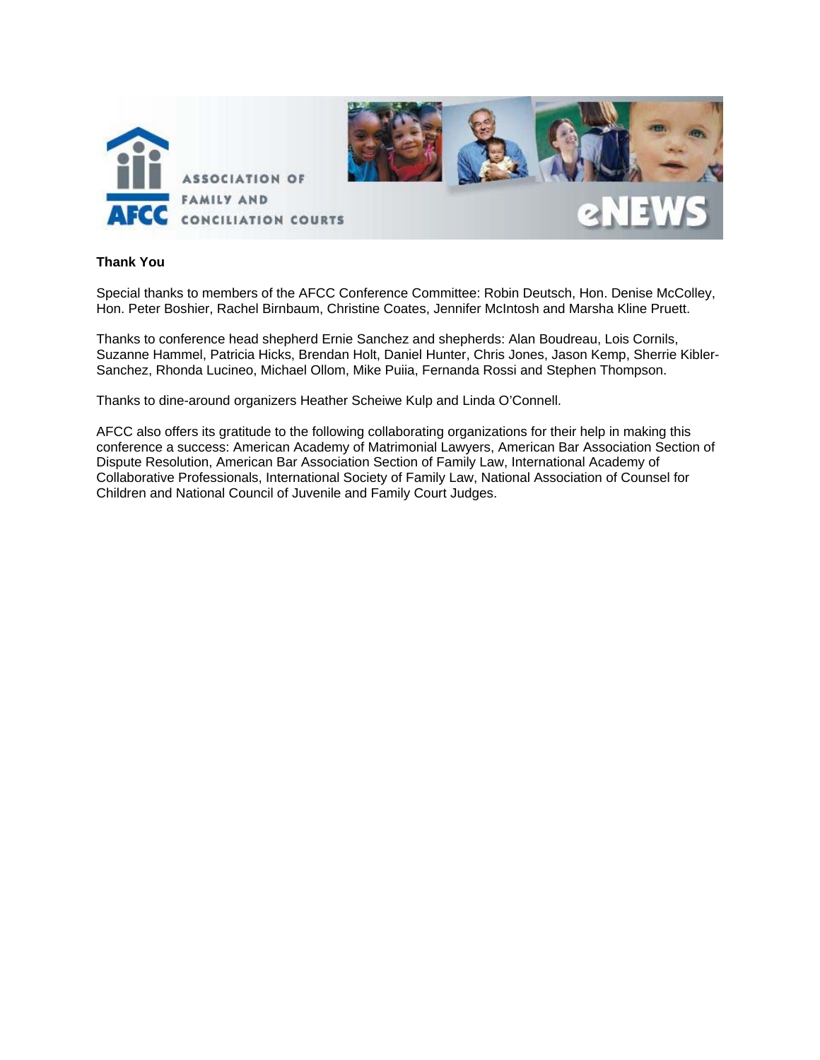

# **Thank You**

Special thanks to members of the AFCC Conference Committee: Robin Deutsch, Hon. Denise McColley, Hon. Peter Boshier, Rachel Birnbaum, Christine Coates, Jennifer McIntosh and Marsha Kline Pruett.

Thanks to conference head shepherd Ernie Sanchez and shepherds: Alan Boudreau, Lois Cornils, Suzanne Hammel, Patricia Hicks, Brendan Holt, Daniel Hunter, Chris Jones, Jason Kemp, Sherrie Kibler-Sanchez, Rhonda Lucineo, Michael Ollom, Mike Puiia, Fernanda Rossi and Stephen Thompson.

Thanks to dine-around organizers Heather Scheiwe Kulp and Linda O'Connell.

AFCC also offers its gratitude to the following collaborating organizations for their help in making this conference a success: American Academy of Matrimonial Lawyers, American Bar Association Section of Dispute Resolution, American Bar Association Section of Family Law, International Academy of Collaborative Professionals, International Society of Family Law, National Association of Counsel for Children and National Council of Juvenile and Family Court Judges.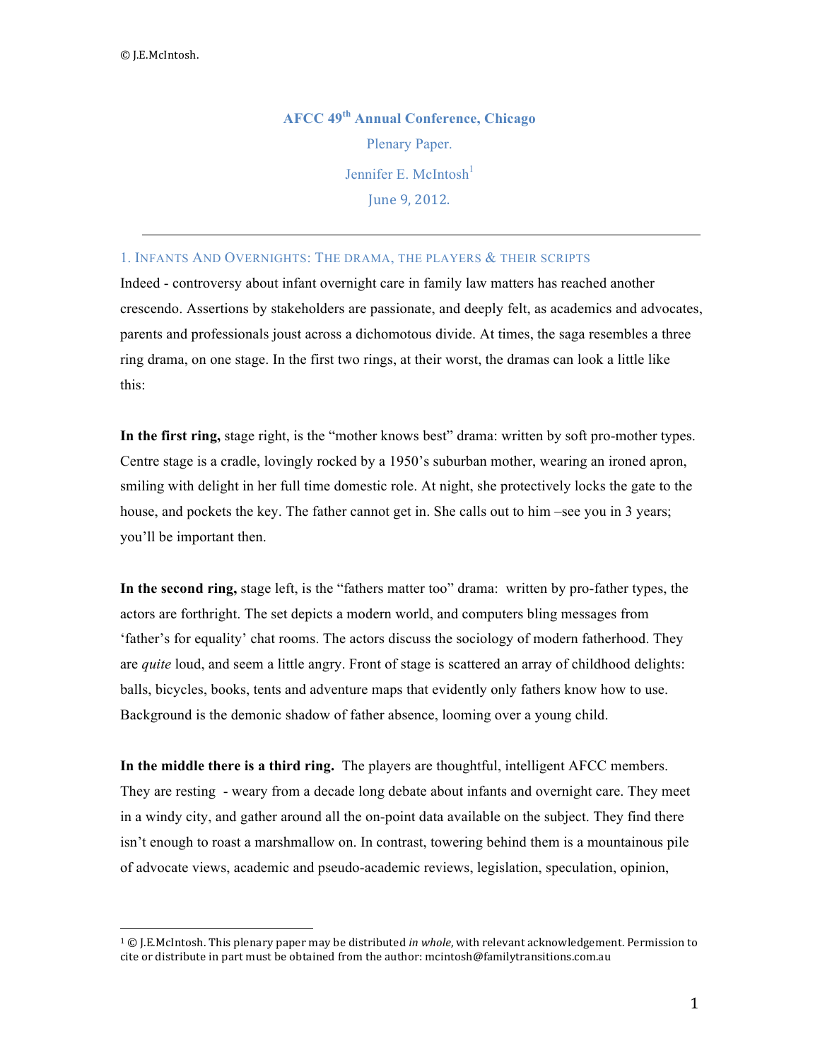**AFCC 49th Annual Conference, Chicago** Plenary Paper. Jennifer E. McIntosh $<sup>1</sup>$ </sup> June 9, 2012.

# 1. INFANTS AND OVERNIGHTS: THE DRAMA, THE PLAYERS & THEIR SCRIPTS

Indeed - controversy about infant overnight care in family law matters has reached another crescendo. Assertions by stakeholders are passionate, and deeply felt, as academics and advocates, parents and professionals joust across a dichomotous divide. At times, the saga resembles a three ring drama, on one stage. In the first two rings, at their worst, the dramas can look a little like this:

**In the first ring,** stage right, is the "mother knows best" drama: written by soft pro-mother types. Centre stage is a cradle, lovingly rocked by a 1950's suburban mother, wearing an ironed apron, smiling with delight in her full time domestic role. At night, she protectively locks the gate to the house, and pockets the key. The father cannot get in. She calls out to him –see you in 3 years; you'll be important then.

**In the second ring,** stage left, is the "fathers matter too" drama: written by pro-father types, the actors are forthright. The set depicts a modern world, and computers bling messages from 'father's for equality' chat rooms. The actors discuss the sociology of modern fatherhood. They are *quite* loud, and seem a little angry. Front of stage is scattered an array of childhood delights: balls, bicycles, books, tents and adventure maps that evidently only fathers know how to use. Background is the demonic shadow of father absence, looming over a young child.

**In the middle there is a third ring.** The players are thoughtful, intelligent AFCC members. They are resting - weary from a decade long debate about infants and overnight care. They meet in a windy city, and gather around all the on-point data available on the subject. They find there isn't enough to roast a marshmallow on. In contrast, towering behind them is a mountainous pile of advocate views, academic and pseudo-academic reviews, legislation, speculation, opinion,

"""""""""""""""""""""""""""""""""""""""""""""""""""""""

<sup>&</sup>lt;sup>1</sup> © J.E.McIntosh. This plenary paper may be distributed *in whole*, with relevant acknowledgement. Permission to cite or distribute in part must be obtained from the author: mcintosh@familytransitions.com.au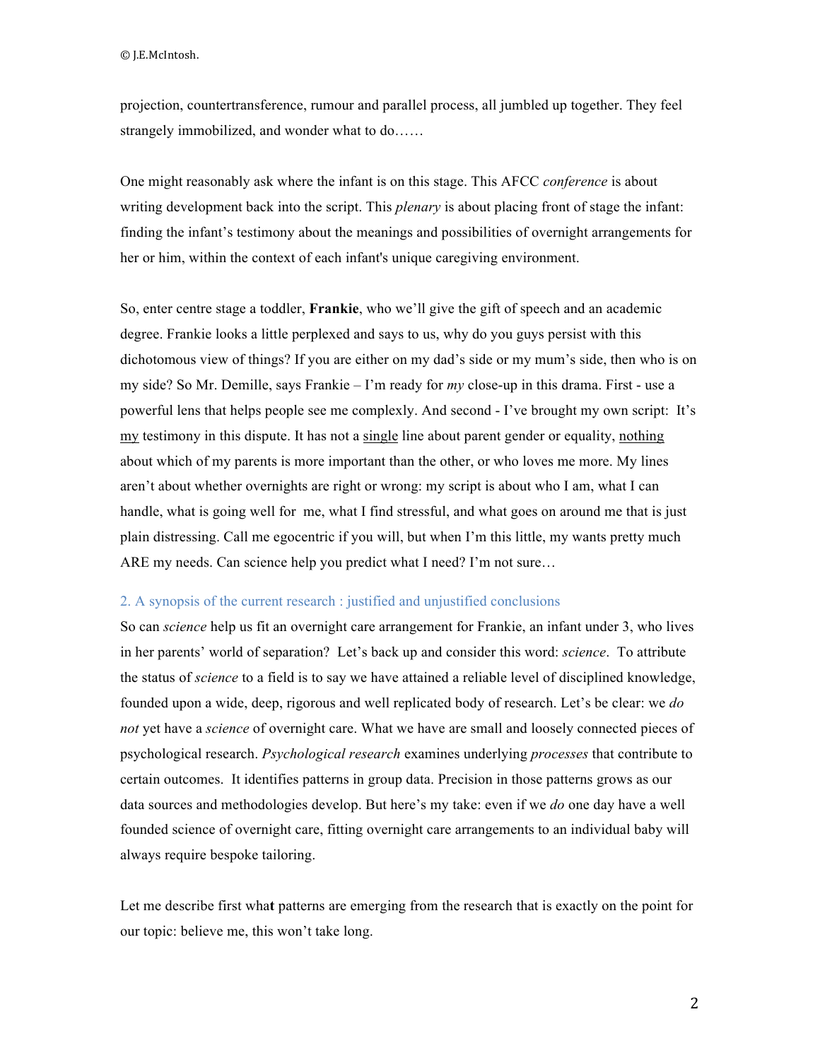projection, countertransference, rumour and parallel process, all jumbled up together. They feel strangely immobilized, and wonder what to do……

One might reasonably ask where the infant is on this stage. This AFCC *conference* is about writing development back into the script. This *plenary* is about placing front of stage the infant: finding the infant's testimony about the meanings and possibilities of overnight arrangements for her or him, within the context of each infant's unique caregiving environment.

So, enter centre stage a toddler, **Frankie**, who we'll give the gift of speech and an academic degree. Frankie looks a little perplexed and says to us, why do you guys persist with this dichotomous view of things? If you are either on my dad's side or my mum's side, then who is on my side? So Mr. Demille, says Frankie – I'm ready for *my* close-up in this drama. First - use a powerful lens that helps people see me complexly. And second - I've brought my own script: It's my testimony in this dispute. It has not a single line about parent gender or equality, nothing about which of my parents is more important than the other, or who loves me more. My lines aren't about whether overnights are right or wrong: my script is about who I am, what I can handle, what is going well for me, what I find stressful, and what goes on around me that is just plain distressing. Call me egocentric if you will, but when I'm this little, my wants pretty much ARE my needs. Can science help you predict what I need? I'm not sure...

# 2. A synopsis of the current research : justified and unjustified conclusions

So can *science* help us fit an overnight care arrangement for Frankie, an infant under 3, who lives in her parents' world of separation? Let's back up and consider this word: *science*. To attribute the status of *science* to a field is to say we have attained a reliable level of disciplined knowledge, founded upon a wide, deep, rigorous and well replicated body of research. Let's be clear: we *do not* yet have a *science* of overnight care. What we have are small and loosely connected pieces of psychological research. *Psychological research* examines underlying *processes* that contribute to certain outcomes. It identifies patterns in group data. Precision in those patterns grows as our data sources and methodologies develop. But here's my take: even if we *do* one day have a well founded science of overnight care, fitting overnight care arrangements to an individual baby will always require bespoke tailoring.

Let me describe first wha**t** patterns are emerging from the research that is exactly on the point for our topic: believe me, this won't take long.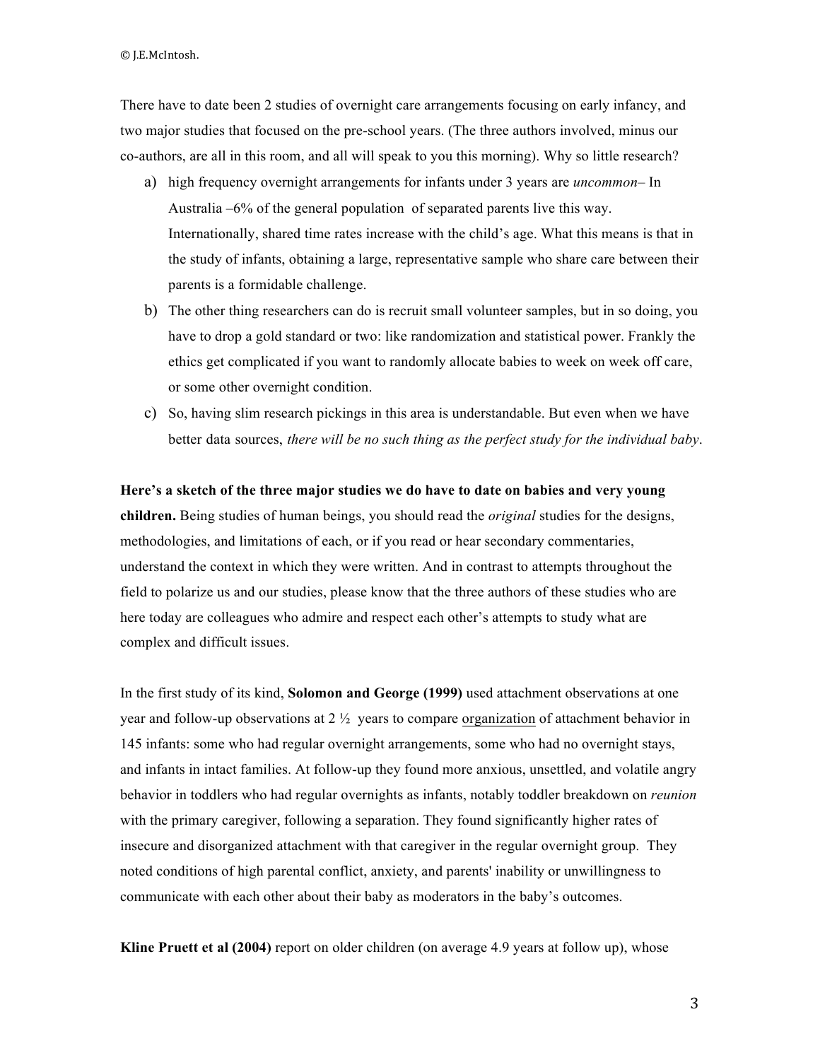©"J.E.McIntosh.

There have to date been 2 studies of overnight care arrangements focusing on early infancy, and two major studies that focused on the pre-school years. (The three authors involved, minus our co-authors, are all in this room, and all will speak to you this morning). Why so little research?

- a) high frequency overnight arrangements for infants under 3 years are *uncommon* In Australia –6% of the general population of separated parents live this way. Internationally, shared time rates increase with the child's age. What this means is that in the study of infants, obtaining a large, representative sample who share care between their parents is a formidable challenge.
- b) The other thing researchers can do is recruit small volunteer samples, but in so doing, you have to drop a gold standard or two: like randomization and statistical power. Frankly the ethics get complicated if you want to randomly allocate babies to week on week off care, or some other overnight condition.
- c) So, having slim research pickings in this area is understandable. But even when we have better data sources, *there will be no such thing as the perfect study for the individual baby*.

# **Here's a sketch of the three major studies we do have to date on babies and very young**

**children.** Being studies of human beings, you should read the *original* studies for the designs, methodologies, and limitations of each, or if you read or hear secondary commentaries, understand the context in which they were written. And in contrast to attempts throughout the field to polarize us and our studies, please know that the three authors of these studies who are here today are colleagues who admire and respect each other's attempts to study what are complex and difficult issues.

In the first study of its kind, **Solomon and George (1999)** used attachment observations at one year and follow-up observations at  $2\frac{1}{2}$  years to compare organization of attachment behavior in 145 infants: some who had regular overnight arrangements, some who had no overnight stays, and infants in intact families. At follow-up they found more anxious, unsettled, and volatile angry behavior in toddlers who had regular overnights as infants, notably toddler breakdown on *reunion* with the primary caregiver, following a separation. They found significantly higher rates of insecure and disorganized attachment with that caregiver in the regular overnight group. They noted conditions of high parental conflict, anxiety, and parents' inability or unwillingness to communicate with each other about their baby as moderators in the baby's outcomes.

**Kline Pruett et al (2004)** report on older children (on average 4.9 years at follow up), whose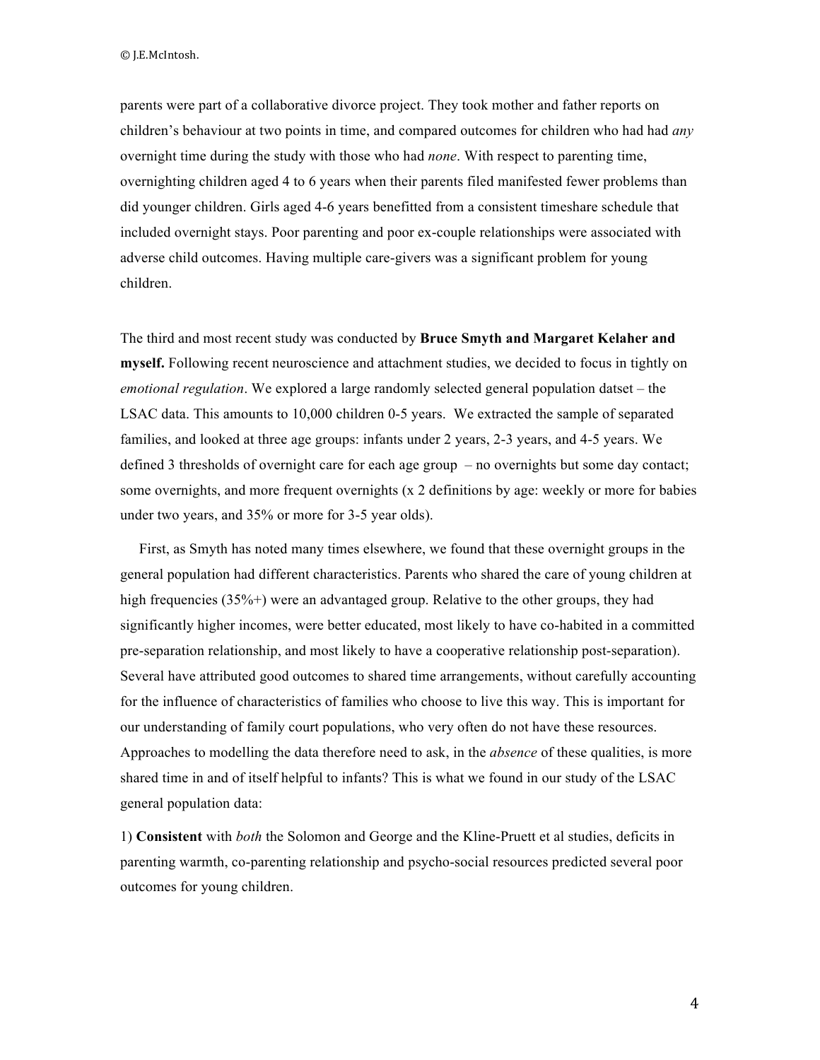parents were part of a collaborative divorce project. They took mother and father reports on children's behaviour at two points in time, and compared outcomes for children who had had *any* overnight time during the study with those who had *none*. With respect to parenting time, overnighting children aged 4 to 6 years when their parents filed manifested fewer problems than did younger children. Girls aged 4-6 years benefitted from a consistent timeshare schedule that included overnight stays. Poor parenting and poor ex-couple relationships were associated with adverse child outcomes. Having multiple care-givers was a significant problem for young children.

The third and most recent study was conducted by **Bruce Smyth and Margaret Kelaher and myself.** Following recent neuroscience and attachment studies, we decided to focus in tightly on *emotional regulation*. We explored a large randomly selected general population datset – the LSAC data. This amounts to 10,000 children 0-5 years. We extracted the sample of separated families, and looked at three age groups: infants under 2 years, 2-3 years, and 4-5 years. We defined 3 thresholds of overnight care for each age group – no overnights but some day contact; some overnights, and more frequent overnights (x 2 definitions by age: weekly or more for babies under two years, and 35% or more for 3-5 year olds).

First, as Smyth has noted many times elsewhere, we found that these overnight groups in the general population had different characteristics. Parents who shared the care of young children at high frequencies (35%+) were an advantaged group. Relative to the other groups, they had significantly higher incomes, were better educated, most likely to have co-habited in a committed pre-separation relationship, and most likely to have a cooperative relationship post-separation). Several have attributed good outcomes to shared time arrangements, without carefully accounting for the influence of characteristics of families who choose to live this way. This is important for our understanding of family court populations, who very often do not have these resources. Approaches to modelling the data therefore need to ask, in the *absence* of these qualities, is more shared time in and of itself helpful to infants? This is what we found in our study of the LSAC general population data:

1) **Consistent** with *both* the Solomon and George and the Kline-Pruett et al studies, deficits in parenting warmth, co-parenting relationship and psycho-social resources predicted several poor outcomes for young children.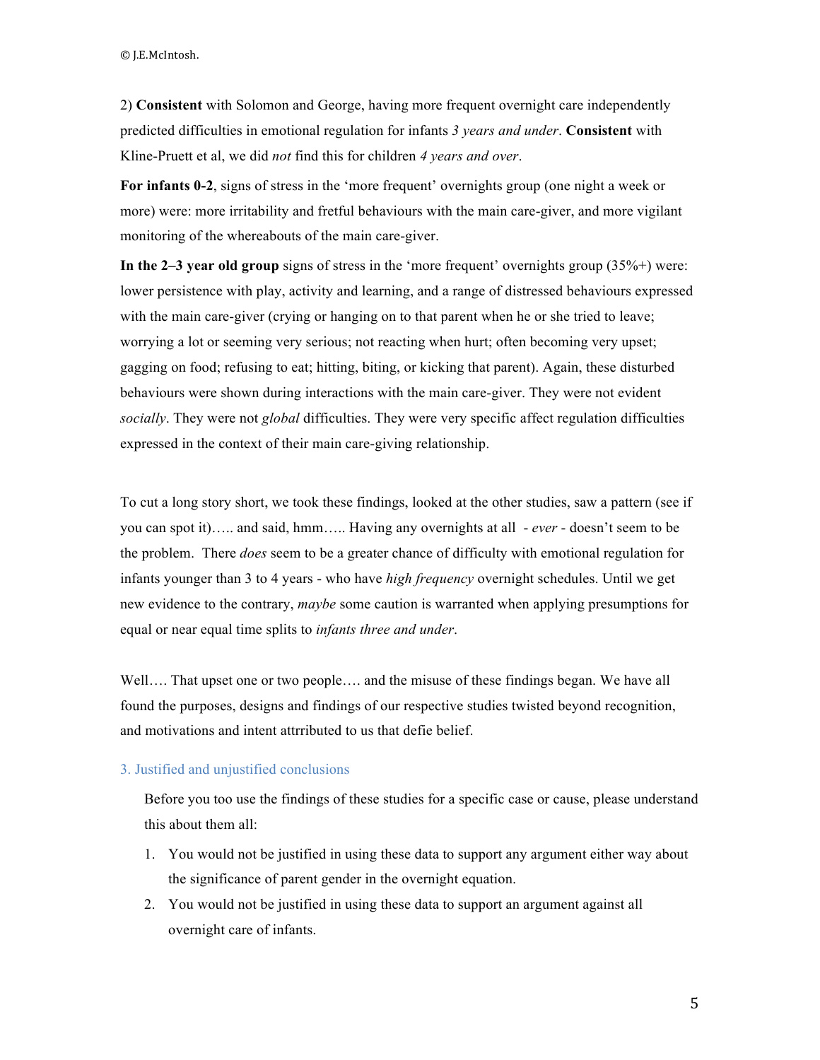©"J.E.McIntosh.

2) **Consistent** with Solomon and George, having more frequent overnight care independently predicted difficulties in emotional regulation for infants *3 years and under*. **Consistent** with Kline-Pruett et al, we did *not* find this for children *4 years and over*.

**For infants 0-2**, signs of stress in the 'more frequent' overnights group (one night a week or more) were: more irritability and fretful behaviours with the main care-giver, and more vigilant monitoring of the whereabouts of the main care-giver.

**In the 2–3 year old group** signs of stress in the 'more frequent' overnights group (35%+) were: lower persistence with play, activity and learning, and a range of distressed behaviours expressed with the main care-giver (crying or hanging on to that parent when he or she tried to leave; worrying a lot or seeming very serious; not reacting when hurt; often becoming very upset; gagging on food; refusing to eat; hitting, biting, or kicking that parent). Again, these disturbed behaviours were shown during interactions with the main care-giver. They were not evident *socially*. They were not *global* difficulties. They were very specific affect regulation difficulties expressed in the context of their main care-giving relationship.

To cut a long story short, we took these findings, looked at the other studies, saw a pattern (see if you can spot it)….. and said, hmm….. Having any overnights at all - *ever* - doesn't seem to be the problem. There *does* seem to be a greater chance of difficulty with emotional regulation for infants younger than 3 to 4 years - who have *high frequency* overnight schedules. Until we get new evidence to the contrary, *maybe* some caution is warranted when applying presumptions for equal or near equal time splits to *infants three and under*.

Well…. That upset one or two people…. and the misuse of these findings began. We have all found the purposes, designs and findings of our respective studies twisted beyond recognition, and motivations and intent attrributed to us that defie belief.

# 3. Justified and unjustified conclusions

Before you too use the findings of these studies for a specific case or cause, please understand this about them all:

- 1. You would not be justified in using these data to support any argument either way about the significance of parent gender in the overnight equation.
- 2. You would not be justified in using these data to support an argument against all overnight care of infants.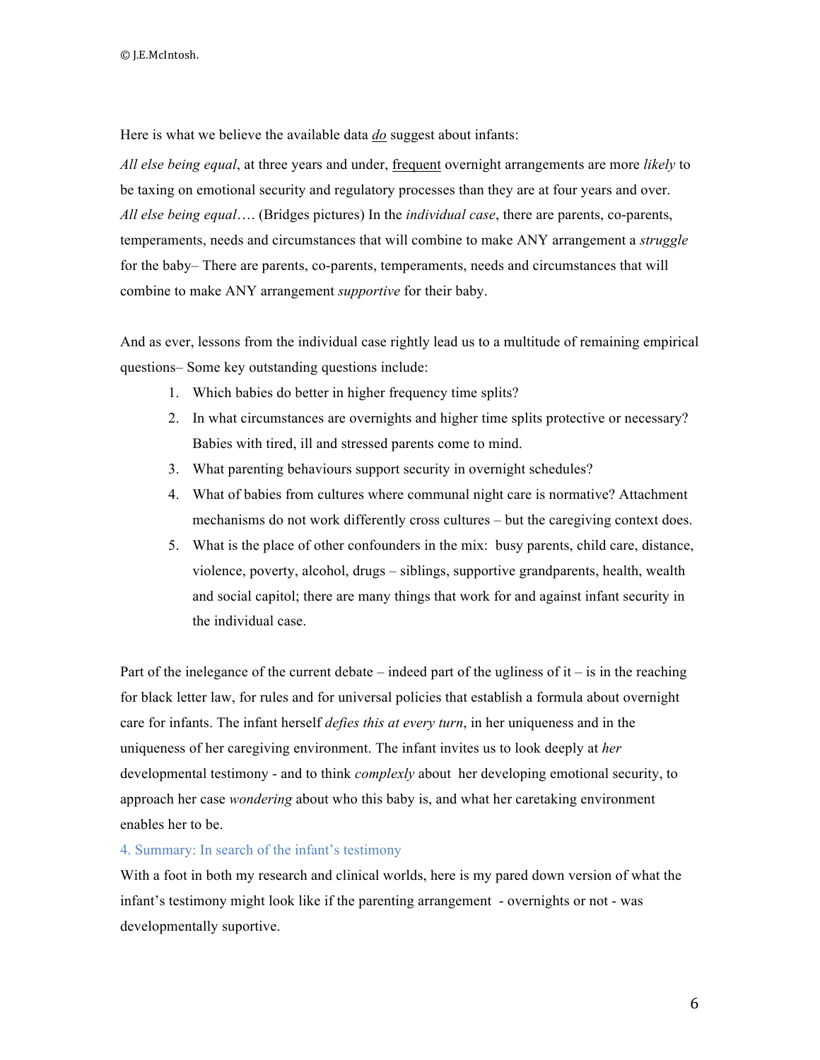Here is what we believe the available data *do* suggest about infants:

*All else being equal*, at three years and under, frequent overnight arrangements are more *likely* to be taxing on emotional security and regulatory processes than they are at four years and over. *All else being equal*…. (Bridges pictures) In the *individual case*, there are parents, co-parents, temperaments, needs and circumstances that will combine to make ANY arrangement a *struggle* for the baby– There are parents, co-parents, temperaments, needs and circumstances that will combine to make ANY arrangement *supportive* for their baby.

And as ever, lessons from the individual case rightly lead us to a multitude of remaining empirical questions– Some key outstanding questions include:

- 1. Which babies do better in higher frequency time splits?
- 2. In what circumstances are overnights and higher time splits protective or necessary? Babies with tired, ill and stressed parents come to mind.
- 3. What parenting behaviours support security in overnight schedules?
- 4. What of babies from cultures where communal night care is normative? Attachment mechanisms do not work differently cross cultures – but the caregiving context does.
- 5. What is the place of other confounders in the mix: busy parents, child care, distance, violence, poverty, alcohol, drugs – siblings, supportive grandparents, health, wealth and social capitol; there are many things that work for and against infant security in the individual case.

Part of the inelegance of the current debate – indeed part of the ugliness of it – is in the reaching for black letter law, for rules and for universal policies that establish a formula about overnight care for infants. The infant herself *defies this at every turn*, in her uniqueness and in the uniqueness of her caregiving environment. The infant invites us to look deeply at *her* developmental testimony - and to think *complexly* about her developing emotional security, to approach her case *wondering* about who this baby is, and what her caretaking environment enables her to be.

# 4. Summary: In search of the infant's testimony

With a foot in both my research and clinical worlds, here is my pared down version of what the infant's testimony might look like if the parenting arrangement - overnights or not - was developmentally suportive.